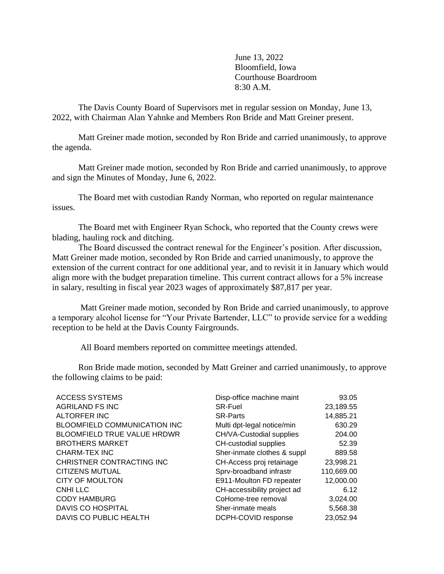June 13, 2022 Bloomfield, Iowa Courthouse Boardroom 8:30 A.M.

The Davis County Board of Supervisors met in regular session on Monday, June 13, 2022, with Chairman Alan Yahnke and Members Ron Bride and Matt Greiner present.

Matt Greiner made motion, seconded by Ron Bride and carried unanimously, to approve the agenda.

Matt Greiner made motion, seconded by Ron Bride and carried unanimously, to approve and sign the Minutes of Monday, June 6, 2022.

The Board met with custodian Randy Norman, who reported on regular maintenance issues.

The Board met with Engineer Ryan Schock, who reported that the County crews were blading, hauling rock and ditching.

The Board discussed the contract renewal for the Engineer's position. After discussion, Matt Greiner made motion, seconded by Ron Bride and carried unanimously, to approve the extension of the current contract for one additional year, and to revisit it in January which would align more with the budget preparation timeline. This current contract allows for a 5% increase in salary, resulting in fiscal year 2023 wages of approximately \$87,817 per year.

 Matt Greiner made motion, seconded by Ron Bride and carried unanimously, to approve a temporary alcohol license for "Your Private Bartender, LLC" to provide service for a wedding reception to be held at the Davis County Fairgrounds.

All Board members reported on committee meetings attended.

Ron Bride made motion, seconded by Matt Greiner and carried unanimously, to approve the following claims to be paid:

| <b>ACCESS SYSTEMS</b>               | Disp-office machine maint   | 93.05      |
|-------------------------------------|-----------------------------|------------|
| <b>AGRILAND FS INC</b>              | <b>SR-Fuel</b>              | 23,189.55  |
| <b>ALTORFER INC</b>                 | <b>SR-Parts</b>             | 14,885.21  |
| <b>BLOOMFIELD COMMUNICATION INC</b> | Multi dpt-legal notice/min  | 630.29     |
| <b>BLOOMFIELD TRUE VALUE HRDWR</b>  | CH/VA-Custodial supplies    | 204.00     |
| <b>BROTHERS MARKET</b>              | CH-custodial supplies       | 52.39      |
| <b>CHARM-TEX INC</b>                | Sher-inmate clothes & suppl | 889.58     |
| CHRISTNER CONTRACTING INC           | CH-Access proj retainage    | 23,998.21  |
| <b>CITIZENS MUTUAL</b>              | Sprv-broadband infrastr     | 110,669.00 |
| <b>CITY OF MOULTON</b>              | E911-Moulton FD repeater    | 12,000.00  |
| <b>CNHILLC</b>                      | CH-accessibility project ad | 6.12       |
| <b>CODY HAMBURG</b>                 | CoHome-tree removal         | 3,024.00   |
| DAVIS CO HOSPITAL                   | Sher-inmate meals           | 5,568.38   |
| DAVIS CO PUBLIC HEALTH              | DCPH-COVID response         | 23,052.94  |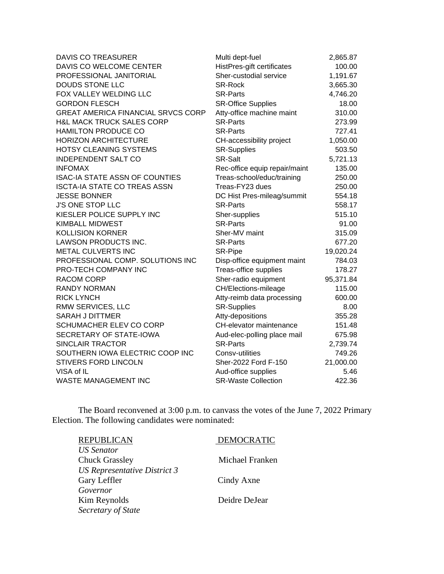| <b>DAVIS CO TREASURER</b>                 | Multi dept-fuel               | 2,865.87  |
|-------------------------------------------|-------------------------------|-----------|
| DAVIS CO WELCOME CENTER                   | HistPres-gift certificates    | 100.00    |
| PROFESSIONAL JANITORIAL                   | Sher-custodial service        | 1,191.67  |
| <b>DOUDS STONE LLC</b>                    | <b>SR-Rock</b>                | 3,665.30  |
| FOX VALLEY WELDING LLC                    | <b>SR-Parts</b>               | 4,746.20  |
| <b>GORDON FLESCH</b>                      | <b>SR-Office Supplies</b>     | 18.00     |
| <b>GREAT AMERICA FINANCIAL SRVCS CORP</b> | Atty-office machine maint     | 310.00    |
| <b>H&amp;L MACK TRUCK SALES CORP</b>      | <b>SR-Parts</b>               | 273.99    |
| <b>HAMILTON PRODUCE CO</b>                | <b>SR-Parts</b>               | 727.41    |
| <b>HORIZON ARCHITECTURE</b>               | CH-accessibility project      | 1,050.00  |
| <b>HOTSY CLEANING SYSTEMS</b>             | <b>SR-Supplies</b>            | 503.50    |
| <b>INDEPENDENT SALT CO</b>                | <b>SR-Salt</b>                | 5,721.13  |
| <b>INFOMAX</b>                            | Rec-office equip repair/maint | 135.00    |
| <b>ISAC-IA STATE ASSN OF COUNTIES</b>     | Treas-school/educ/training    | 250.00    |
| <b>ISCTA-IA STATE CO TREAS ASSN</b>       | Treas-FY23 dues               | 250.00    |
| <b>JESSE BONNER</b>                       | DC Hist Pres-mileag/summit    | 554.18    |
| <b>J'S ONE STOP LLC</b>                   | <b>SR-Parts</b>               | 558.17    |
| KIESLER POLICE SUPPLY INC                 | Sher-supplies                 | 515.10    |
| <b>KIMBALL MIDWEST</b>                    | <b>SR-Parts</b>               | 91.00     |
| <b>KOLLISION KORNER</b>                   | Sher-MV maint                 | 315.09    |
| LAWSON PRODUCTS INC.                      | <b>SR-Parts</b>               | 677.20    |
| METAL CULVERTS INC                        | SR-Pipe                       | 19,020.24 |
| PROFESSIONAL COMP. SOLUTIONS INC          | Disp-office equipment maint   | 784.03    |
| PRO-TECH COMPANY INC                      | Treas-office supplies         | 178.27    |
| <b>RACOM CORP</b>                         | Sher-radio equipment          | 95,371.84 |
| <b>RANDY NORMAN</b>                       | CH/Elections-mileage          | 115.00    |
| <b>RICK LYNCH</b>                         | Atty-reimb data processing    | 600.00    |
| RMW SERVICES, LLC                         | <b>SR-Supplies</b>            | 8.00      |
| <b>SARAH J DITTMER</b>                    | Atty-depositions              | 355.28    |
| SCHUMACHER ELEV CO CORP                   | CH-elevator maintenance       | 151.48    |
| SECRETARY OF STATE-IOWA                   | Aud-elec-polling place mail   | 675.98    |
| <b>SINCLAIR TRACTOR</b>                   | <b>SR-Parts</b>               | 2,739.74  |
| SOUTHERN IOWA ELECTRIC COOP INC           | Consv-utilities               | 749.26    |
| <b>STIVERS FORD LINCOLN</b>               | Sher-2022 Ford F-150          | 21,000.00 |
| VISA of IL                                | Aud-office supplies           | 5.46      |
| <b>WASTE MANAGEMENT INC</b>               | <b>SR-Waste Collection</b>    | 422.36    |

The Board reconvened at 3:00 p.m. to canvass the votes of the June 7, 2022 Primary Election. The following candidates were nominated:

| <b>REPUBLICAN</b>                              | <b>DEMOCRATIC</b> |
|------------------------------------------------|-------------------|
| <b>US</b> Senator<br><b>Chuck Grassley</b>     | Michael Franken   |
| US Representative District 3<br>Gary Leffler   | Cindy Axne        |
| Governor<br>Kim Reynolds<br>Secretary of State | Deidre DeJear     |
|                                                |                   |